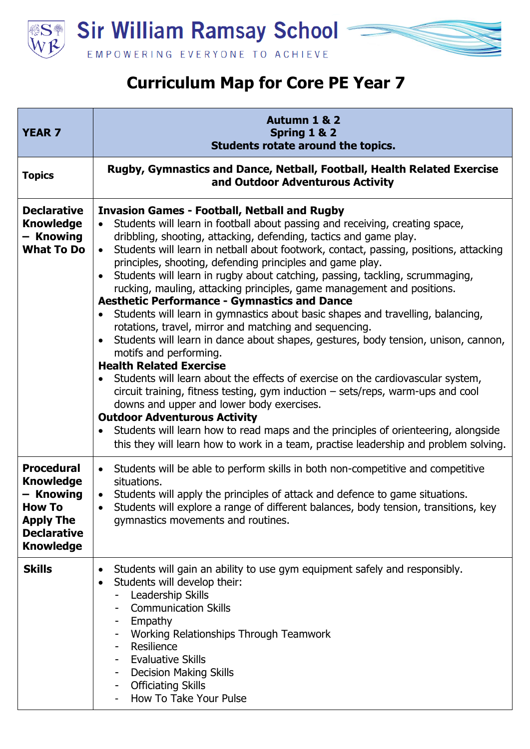

**Sir William Ramsay School** EMPOWERING EVERYONE TO ACHIEVE

## **Curriculum Map for Core PE Year 7**

| <b>YEAR 7</b>                                                                                                                     | Autumn 1 & 2<br>Spring 1 & 2<br>Students rotate around the topics.                                                                                                                                                                                                                                                                                                                                                                                                                                                                                                                                                                                                                                                                                                                                                                                                                                                                                                                                                                                                                                                                                                                                                                                                                                                                                                                                     |
|-----------------------------------------------------------------------------------------------------------------------------------|--------------------------------------------------------------------------------------------------------------------------------------------------------------------------------------------------------------------------------------------------------------------------------------------------------------------------------------------------------------------------------------------------------------------------------------------------------------------------------------------------------------------------------------------------------------------------------------------------------------------------------------------------------------------------------------------------------------------------------------------------------------------------------------------------------------------------------------------------------------------------------------------------------------------------------------------------------------------------------------------------------------------------------------------------------------------------------------------------------------------------------------------------------------------------------------------------------------------------------------------------------------------------------------------------------------------------------------------------------------------------------------------------------|
| <b>Topics</b>                                                                                                                     | Rugby, Gymnastics and Dance, Netball, Football, Health Related Exercise<br>and Outdoor Adventurous Activity                                                                                                                                                                                                                                                                                                                                                                                                                                                                                                                                                                                                                                                                                                                                                                                                                                                                                                                                                                                                                                                                                                                                                                                                                                                                                            |
| <b>Declarative</b><br><b>Knowledge</b><br>- Knowing<br><b>What To Do</b>                                                          | <b>Invasion Games - Football, Netball and Rugby</b><br>Students will learn in football about passing and receiving, creating space,<br>$\bullet$<br>dribbling, shooting, attacking, defending, tactics and game play.<br>Students will learn in netball about footwork, contact, passing, positions, attacking<br>$\bullet$<br>principles, shooting, defending principles and game play.<br>Students will learn in rugby about catching, passing, tackling, scrummaging,<br>rucking, mauling, attacking principles, game management and positions.<br><b>Aesthetic Performance - Gymnastics and Dance</b><br>Students will learn in gymnastics about basic shapes and travelling, balancing,<br>$\bullet$<br>rotations, travel, mirror and matching and sequencing.<br>Students will learn in dance about shapes, gestures, body tension, unison, cannon,<br>$\bullet$<br>motifs and performing.<br><b>Health Related Exercise</b><br>Students will learn about the effects of exercise on the cardiovascular system,<br>$\bullet$<br>circuit training, fitness testing, gym induction $-$ sets/reps, warm-ups and cool<br>downs and upper and lower body exercises.<br><b>Outdoor Adventurous Activity</b><br>Students will learn how to read maps and the principles of orienteering, alongside<br>$\bullet$<br>this they will learn how to work in a team, practise leadership and problem solving. |
| <b>Procedural</b><br><b>Knowledge</b><br>– Knowing<br><b>How To</b><br><b>Apply The</b><br><b>Declarative</b><br><b>Knowledge</b> | Students will be able to perform skills in both non-competitive and competitive<br>$\bullet$<br>situations.<br>Students will apply the principles of attack and defence to game situations.<br>$\bullet$<br>Students will explore a range of different balances, body tension, transitions, key<br>gymnastics movements and routines.                                                                                                                                                                                                                                                                                                                                                                                                                                                                                                                                                                                                                                                                                                                                                                                                                                                                                                                                                                                                                                                                  |
| <b>Skills</b>                                                                                                                     | Students will gain an ability to use gym equipment safely and responsibly.<br>$\bullet$<br>Students will develop their:<br>$\bullet$<br>Leadership Skills<br><b>Communication Skills</b><br>Empathy<br>Working Relationships Through Teamwork<br>Resilience<br><b>Evaluative Skills</b><br><b>Decision Making Skills</b><br><b>Officiating Skills</b><br>How To Take Your Pulse                                                                                                                                                                                                                                                                                                                                                                                                                                                                                                                                                                                                                                                                                                                                                                                                                                                                                                                                                                                                                        |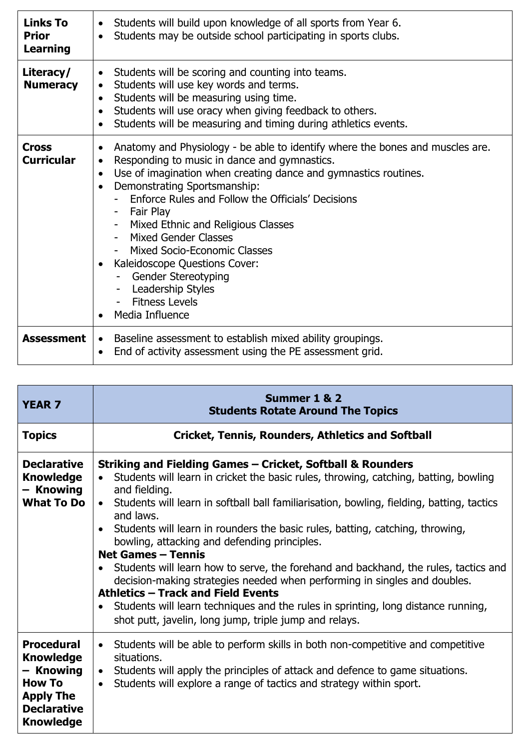| <b>Links To</b><br><b>Prior</b><br><b>Learning</b> | Students will build upon knowledge of all sports from Year 6.<br>$\bullet$<br>Students may be outside school participating in sports clubs.<br>$\bullet$                                                                                                                                                                                                                                                                                                                                                                                                                                   |
|----------------------------------------------------|--------------------------------------------------------------------------------------------------------------------------------------------------------------------------------------------------------------------------------------------------------------------------------------------------------------------------------------------------------------------------------------------------------------------------------------------------------------------------------------------------------------------------------------------------------------------------------------------|
| Literacy/<br><b>Numeracy</b>                       | Students will be scoring and counting into teams.<br>$\bullet$<br>Students will use key words and terms.<br>$\bullet$<br>Students will be measuring using time.<br>$\bullet$<br>Students will use oracy when giving feedback to others.<br>$\bullet$<br>Students will be measuring and timing during athletics events.<br>$\bullet$                                                                                                                                                                                                                                                        |
| <b>Cross</b><br><b>Curricular</b>                  | Anatomy and Physiology - be able to identify where the bones and muscles are.<br>$\bullet$<br>Responding to music in dance and gymnastics.<br>$\bullet$<br>Use of imagination when creating dance and gymnastics routines.<br>$\bullet$<br>Demonstrating Sportsmanship:<br>$\bullet$<br>Enforce Rules and Follow the Officials' Decisions<br>- Fair Play<br>- Mixed Ethnic and Religious Classes<br>- Mixed Gender Classes<br>Mixed Socio-Economic Classes<br>Kaleidoscope Questions Cover:<br>Gender Stereotyping<br><b>Leadership Styles</b><br><b>Fitness Levels</b><br>Media Influence |
| <b>Assessment</b>                                  | • Baseline assessment to establish mixed ability groupings.<br>End of activity assessment using the PE assessment grid.<br>$\bullet$                                                                                                                                                                                                                                                                                                                                                                                                                                                       |

| <b>YEAR 7</b>                                                                                                                     | Summer 1 & 2<br><b>Students Rotate Around The Topics</b>                                                                                                                                                                                                                                                                                                                                                                                                                                                                                                                                                                                                                                                                                                                                                                                                                     |
|-----------------------------------------------------------------------------------------------------------------------------------|------------------------------------------------------------------------------------------------------------------------------------------------------------------------------------------------------------------------------------------------------------------------------------------------------------------------------------------------------------------------------------------------------------------------------------------------------------------------------------------------------------------------------------------------------------------------------------------------------------------------------------------------------------------------------------------------------------------------------------------------------------------------------------------------------------------------------------------------------------------------------|
| <b>Topics</b>                                                                                                                     | <b>Cricket, Tennis, Rounders, Athletics and Softball</b>                                                                                                                                                                                                                                                                                                                                                                                                                                                                                                                                                                                                                                                                                                                                                                                                                     |
| <b>Declarative</b><br><b>Knowledge</b><br>- Knowing<br><b>What To Do</b>                                                          | Striking and Fielding Games – Cricket, Softball & Rounders<br>Students will learn in cricket the basic rules, throwing, catching, batting, bowling<br>$\bullet$<br>and fielding.<br>Students will learn in softball ball familiarisation, bowling, fielding, batting, tactics<br>$\bullet$<br>and laws.<br>Students will learn in rounders the basic rules, batting, catching, throwing,<br>$\bullet$<br>bowling, attacking and defending principles.<br><b>Net Games - Tennis</b><br>Students will learn how to serve, the forehand and backhand, the rules, tactics and<br>$\bullet$<br>decision-making strategies needed when performing in singles and doubles.<br><b>Athletics - Track and Field Events</b><br>Students will learn techniques and the rules in sprinting, long distance running,<br>$\bullet$<br>shot putt, javelin, long jump, triple jump and relays. |
| <b>Procedural</b><br><b>Knowledge</b><br>- Knowing<br><b>How To</b><br><b>Apply The</b><br><b>Declarative</b><br><b>Knowledge</b> | Students will be able to perform skills in both non-competitive and competitive<br>$\bullet$<br>situations.<br>Students will apply the principles of attack and defence to game situations.<br>$\bullet$<br>Students will explore a range of tactics and strategy within sport.<br>$\bullet$                                                                                                                                                                                                                                                                                                                                                                                                                                                                                                                                                                                 |